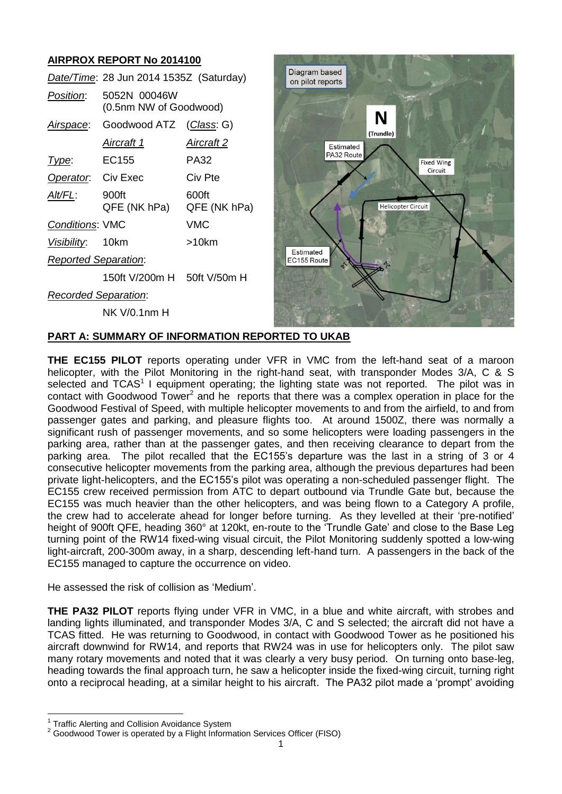# **AIRPROX REPORT No 2014100**

|                             | Date/Time: 28 Jun 2014 1535Z (Saturday) |                       |
|-----------------------------|-----------------------------------------|-----------------------|
| <i>Position:</i>            | 5052N 00046W<br>(0.5nm NW of Goodwood)  |                       |
| Airspace:                   | Goodwood ATZ                            | (Class: G)            |
|                             | <u>Aircraft 1</u>                       | <u>Aircraft 2</u>     |
| Type:                       | EC <sub>155</sub>                       | PA32                  |
| Operator. Civ Exec          |                                         | Civ Pte               |
| Alt/FL:                     | 900ft<br>QFE (NK hPa)                   | 600ft<br>QFE (NK hPa) |
| <b>Conditions: VMC</b>      |                                         | <b>VMC</b>            |
| Visibility: 10km            |                                         | >10km                 |
| <b>Reported Separation:</b> |                                         |                       |
|                             | 150ft V/200m H 50ft V/50m H             |                       |
| <b>Recorded Separation:</b> |                                         |                       |
|                             | NK V/0.1nm H                            |                       |



## **PART A: SUMMARY OF INFORMATION REPORTED TO UKAB**

**THE EC155 PILOT** reports operating under VFR in VMC from the left-hand seat of a maroon helicopter, with the Pilot Monitoring in the right-hand seat, with transponder Modes 3/A, C & S selected and  $TCAS<sup>1</sup>$  I equipment operating; the lighting state was not reported. The pilot was in contact with Goodwood Tower<sup>2</sup> and he reports that there was a complex operation in place for the Goodwood Festival of Speed, with multiple helicopter movements to and from the airfield, to and from passenger gates and parking, and pleasure flights too. At around 1500Z, there was normally a significant rush of passenger movements, and so some helicopters were loading passengers in the parking area, rather than at the passenger gates, and then receiving clearance to depart from the parking area. The pilot recalled that the EC155's departure was the last in a string of 3 or 4 consecutive helicopter movements from the parking area, although the previous departures had been private light-helicopters, and the EC155's pilot was operating a non-scheduled passenger flight. The EC155 crew received permission from ATC to depart outbound via Trundle Gate but, because the EC155 was much heavier than the other helicopters, and was being flown to a Category A profile, the crew had to accelerate ahead for longer before turning. As they levelled at their 'pre-notified' height of 900ft QFE, heading 360° at 120kt, en-route to the 'Trundle Gate' and close to the Base Leg turning point of the RW14 fixed-wing visual circuit, the Pilot Monitoring suddenly spotted a low-wing light-aircraft, 200-300m away, in a sharp, descending left-hand turn. A passengers in the back of the EC155 managed to capture the occurrence on video.

He assessed the risk of collision as 'Medium'.

**THE PA32 PILOT** reports flying under VFR in VMC, in a blue and white aircraft, with strobes and landing lights illuminated, and transponder Modes 3/A, C and S selected; the aircraft did not have a TCAS fitted. He was returning to Goodwood, in contact with Goodwood Tower as he positioned his aircraft downwind for RW14, and reports that RW24 was in use for helicopters only. The pilot saw many rotary movements and noted that it was clearly a very busy period. On turning onto base-leg, heading towards the final approach turn, he saw a helicopter inside the fixed-wing circuit, turning right onto a reciprocal heading, at a similar height to his aircraft. The PA32 pilot made a 'prompt' avoiding

 $\overline{\phantom{a}}$ 

<sup>&</sup>lt;sup>1</sup> Traffic Alerting and Collision Avoidance System

<sup>&</sup>lt;sup>2</sup> Goodwood Tower is operated by a Flight Information Services Officer (FISO)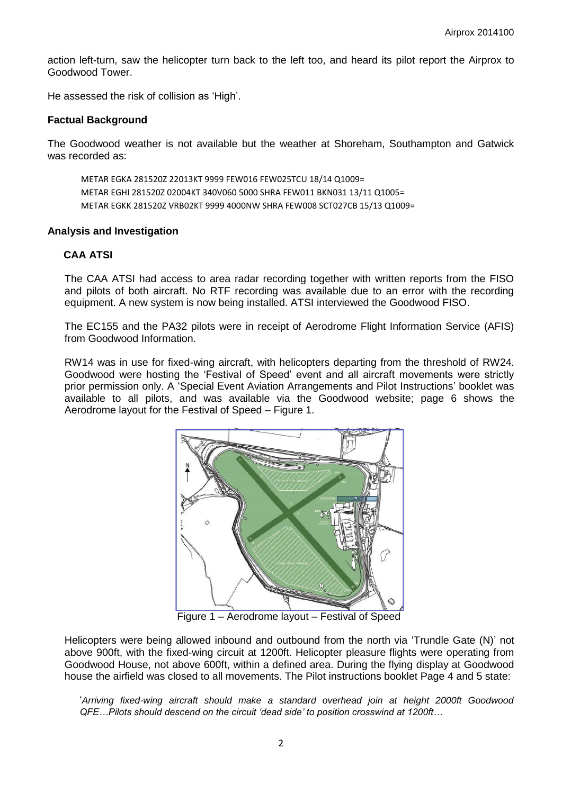action left-turn, saw the helicopter turn back to the left too, and heard its pilot report the Airprox to Goodwood Tower.

He assessed the risk of collision as 'High'.

#### **Factual Background**

The Goodwood weather is not available but the weather at Shoreham, Southampton and Gatwick was recorded as:

METAR EGKA 281520Z 22013KT 9999 FEW016 FEW025TCU 18/14 Q1009= METAR EGHI 281520Z 02004KT 340V060 5000 SHRA FEW011 BKN031 13/11 Q1005= METAR EGKK 281520Z VRB02KT 9999 4000NW SHRA FEW008 SCT027CB 15/13 Q1009=

#### **Analysis and Investigation**

### **CAA ATSI**

The CAA ATSI had access to area radar recording together with written reports from the FISO and pilots of both aircraft. No RTF recording was available due to an error with the recording equipment. A new system is now being installed. ATSI interviewed the Goodwood FISO.

The EC155 and the PA32 pilots were in receipt of Aerodrome Flight Information Service (AFIS) from Goodwood Information.

RW14 was in use for fixed-wing aircraft, with helicopters departing from the threshold of RW24. Goodwood were hosting the 'Festival of Speed' event and all aircraft movements were strictly prior permission only. A 'Special Event Aviation Arrangements and Pilot Instructions' booklet was available to all pilots, and was available via the Goodwood website; page 6 shows the Aerodrome layout for the Festival of Speed – Figure 1.



Figure 1 – Aerodrome layout – Festival of Speed

Helicopters were being allowed inbound and outbound from the north via 'Trundle Gate (N)' not above 900ft, with the fixed-wing circuit at 1200ft. Helicopter pleasure flights were operating from Goodwood House, not above 600ft, within a defined area. During the flying display at Goodwood house the airfield was closed to all movements. The Pilot instructions booklet Page 4 and 5 state:

'*Arriving fixed-wing aircraft should make a standard overhead join at height 2000ft Goodwood QFE…Pilots should descend on the circuit 'dead side' to position crosswind at 1200ft…*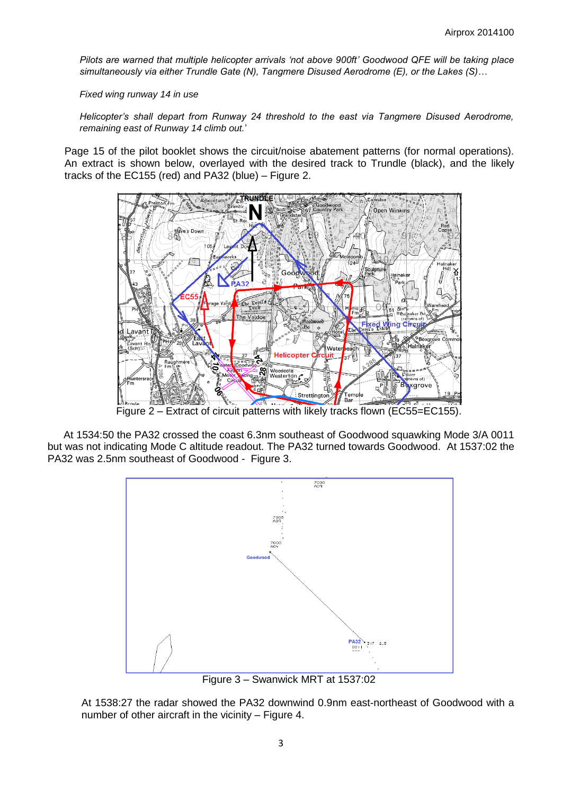*Pilots are warned that multiple helicopter arrivals 'not above 900ft' Goodwood QFE will be taking place simultaneously via either Trundle Gate (N), Tangmere Disused Aerodrome (E), or the Lakes (S)…*

*Fixed wing runway 14 in use*

*Helicopter's shall depart from Runway 24 threshold to the east via Tangmere Disused Aerodrome, remaining east of Runway 14 climb out.*'

Page 15 of the pilot booklet shows the circuit/noise abatement patterns (for normal operations). An extract is shown below, overlayed with the desired track to Trundle (black), and the likely tracks of the EC155 (red) and PA32 (blue) – Figure 2.



Figure 2 – Extract of circuit patterns with likely tracks flown (EC55=EC155).

At 1534:50 the PA32 crossed the coast 6.3nm southeast of Goodwood squawking Mode 3/A 0011 but was not indicating Mode C altitude readout. The PA32 turned towards Goodwood. At 1537:02 the PA32 was 2.5nm southeast of Goodwood - Figure 3.



Figure 3 – Swanwick MRT at 1537:02

At 1538:27 the radar showed the PA32 downwind 0.9nm east-northeast of Goodwood with a number of other aircraft in the vicinity – Figure 4.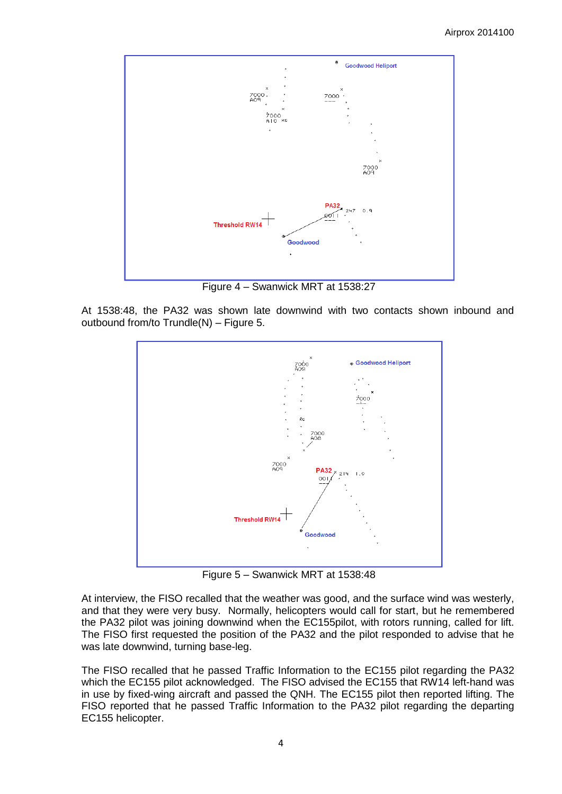

Figure 4 – Swanwick MRT at 1538:27

At 1538:48, the PA32 was shown late downwind with two contacts shown inbound and outbound from/to Trundle(N) – Figure 5.



Figure 5 – Swanwick MRT at 1538:48

At interview, the FISO recalled that the weather was good, and the surface wind was westerly, and that they were very busy. Normally, helicopters would call for start, but he remembered the PA32 pilot was joining downwind when the EC155pilot, with rotors running, called for lift. The FISO first requested the position of the PA32 and the pilot responded to advise that he was late downwind, turning base-leg.

The FISO recalled that he passed Traffic Information to the EC155 pilot regarding the PA32 which the EC155 pilot acknowledged. The FISO advised the EC155 that RW14 left-hand was in use by fixed-wing aircraft and passed the QNH. The EC155 pilot then reported lifting. The FISO reported that he passed Traffic Information to the PA32 pilot regarding the departing EC155 helicopter.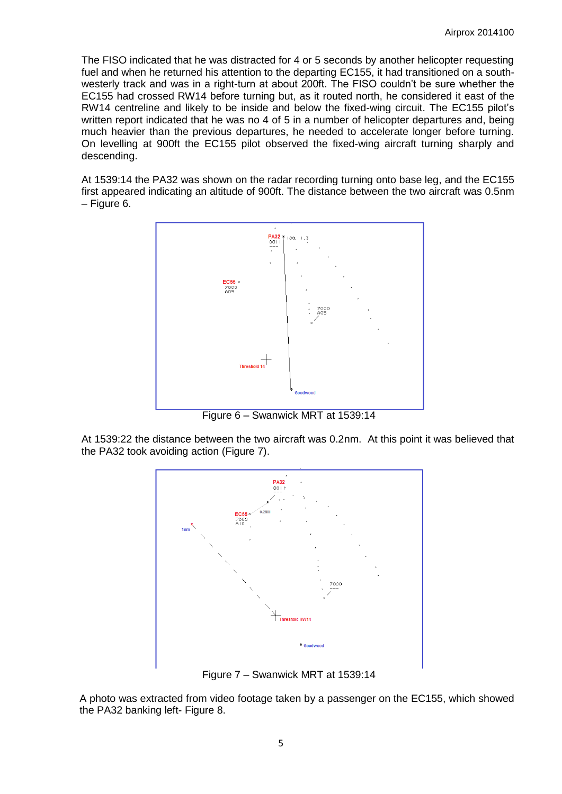The FISO indicated that he was distracted for 4 or 5 seconds by another helicopter requesting fuel and when he returned his attention to the departing EC155, it had transitioned on a southwesterly track and was in a right-turn at about 200ft. The FISO couldn't be sure whether the EC155 had crossed RW14 before turning but, as it routed north, he considered it east of the RW14 centreline and likely to be inside and below the fixed-wing circuit. The EC155 pilot's written report indicated that he was no 4 of 5 in a number of helicopter departures and, being much heavier than the previous departures, he needed to accelerate longer before turning. On levelling at 900ft the EC155 pilot observed the fixed-wing aircraft turning sharply and descending.

At 1539:14 the PA32 was shown on the radar recording turning onto base leg, and the EC155 first appeared indicating an altitude of 900ft. The distance between the two aircraft was 0.5nm – Figure 6.



Figure 6 – Swanwick MRT at 1539:14

At 1539:22 the distance between the two aircraft was 0.2nm. At this point it was believed that the PA32 took avoiding action (Figure 7).



Figure 7 – Swanwick MRT at 1539:14

A photo was extracted from video footage taken by a passenger on the EC155, which showed the PA32 banking left- Figure 8.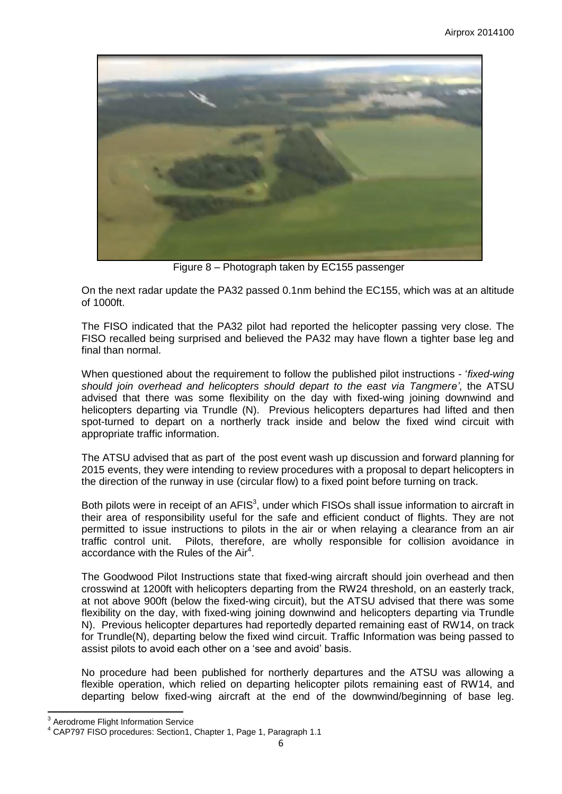

Figure 8 – Photograph taken by EC155 passenger

On the next radar update the PA32 passed 0.1nm behind the EC155, which was at an altitude of 1000ft.

The FISO indicated that the PA32 pilot had reported the helicopter passing very close. The FISO recalled being surprised and believed the PA32 may have flown a tighter base leg and final than normal.

When questioned about the requirement to follow the published pilot instructions - '*fixed-wing should join overhead and helicopters should depart to the east via Tangmere'*, the ATSU advised that there was some flexibility on the day with fixed-wing joining downwind and helicopters departing via Trundle (N). Previous helicopters departures had lifted and then spot-turned to depart on a northerly track inside and below the fixed wind circuit with appropriate traffic information.

The ATSU advised that as part of the post event wash up discussion and forward planning for 2015 events, they were intending to review procedures with a proposal to depart helicopters in the direction of the runway in use (circular flow) to a fixed point before turning on track.

Both pilots were in receipt of an  $AFIS<sup>3</sup>$ , under which FISOs shall issue information to aircraft in their area of responsibility useful for the safe and efficient conduct of flights. They are not permitted to issue instructions to pilots in the air or when relaying a clearance from an air traffic control unit. Pilots, therefore, are wholly responsible for collision avoidance in accordance with the Rules of the  $Air<sup>4</sup>$ .

The Goodwood Pilot Instructions state that fixed-wing aircraft should join overhead and then crosswind at 1200ft with helicopters departing from the RW24 threshold, on an easterly track, at not above 900ft (below the fixed-wing circuit), but the ATSU advised that there was some flexibility on the day, with fixed-wing joining downwind and helicopters departing via Trundle N). Previous helicopter departures had reportedly departed remaining east of RW14, on track for Trundle(N), departing below the fixed wind circuit. Traffic Information was being passed to assist pilots to avoid each other on a 'see and avoid' basis.

No procedure had been published for northerly departures and the ATSU was allowing a flexible operation, which relied on departing helicopter pilots remaining east of RW14, and departing below fixed-wing aircraft at the end of the downwind/beginning of base leg.

 $\overline{\phantom{a}}$  $3$  Aerodrome Flight Information Service

<sup>4</sup> CAP797 FISO procedures: Section1, Chapter 1, Page 1, Paragraph 1.1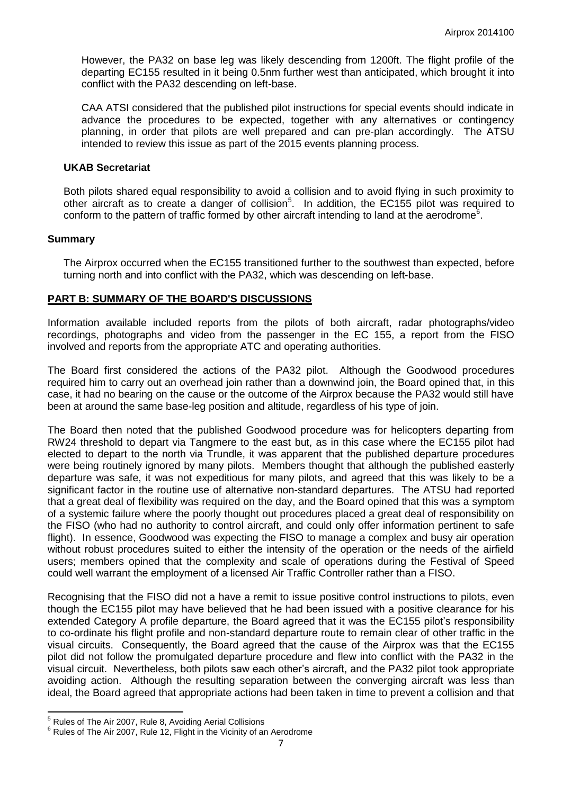However, the PA32 on base leg was likely descending from 1200ft. The flight profile of the departing EC155 resulted in it being 0.5nm further west than anticipated, which brought it into conflict with the PA32 descending on left-base.

CAA ATSI considered that the published pilot instructions for special events should indicate in advance the procedures to be expected, together with any alternatives or contingency planning, in order that pilots are well prepared and can pre-plan accordingly. The ATSU intended to review this issue as part of the 2015 events planning process.

#### **UKAB Secretariat**

Both pilots shared equal responsibility to avoid a collision and to avoid flying in such proximity to other aircraft as to create a danger of collision<sup>5</sup>. In addition, the EC155 pilot was required to conform to the pattern of traffic formed by other aircraft intending to land at the aerodrome<sup>6</sup>.

### **Summary**

The Airprox occurred when the EC155 transitioned further to the southwest than expected, before turning north and into conflict with the PA32, which was descending on left-base.

## **PART B: SUMMARY OF THE BOARD'S DISCUSSIONS**

Information available included reports from the pilots of both aircraft, radar photographs/video recordings, photographs and video from the passenger in the EC 155, a report from the FISO involved and reports from the appropriate ATC and operating authorities.

The Board first considered the actions of the PA32 pilot. Although the Goodwood procedures required him to carry out an overhead join rather than a downwind join, the Board opined that, in this case, it had no bearing on the cause or the outcome of the Airprox because the PA32 would still have been at around the same base-leg position and altitude, regardless of his type of join.

The Board then noted that the published Goodwood procedure was for helicopters departing from RW24 threshold to depart via Tangmere to the east but, as in this case where the EC155 pilot had elected to depart to the north via Trundle, it was apparent that the published departure procedures were being routinely ignored by many pilots. Members thought that although the published easterly departure was safe, it was not expeditious for many pilots, and agreed that this was likely to be a significant factor in the routine use of alternative non-standard departures. The ATSU had reported that a great deal of flexibility was required on the day, and the Board opined that this was a symptom of a systemic failure where the poorly thought out procedures placed a great deal of responsibility on the FISO (who had no authority to control aircraft, and could only offer information pertinent to safe flight). In essence, Goodwood was expecting the FISO to manage a complex and busy air operation without robust procedures suited to either the intensity of the operation or the needs of the airfield users; members opined that the complexity and scale of operations during the Festival of Speed could well warrant the employment of a licensed Air Traffic Controller rather than a FISO.

Recognising that the FISO did not a have a remit to issue positive control instructions to pilots, even though the EC155 pilot may have believed that he had been issued with a positive clearance for his extended Category A profile departure, the Board agreed that it was the EC155 pilot's responsibility to co-ordinate his flight profile and non-standard departure route to remain clear of other traffic in the visual circuits. Consequently, the Board agreed that the cause of the Airprox was that the EC155 pilot did not follow the promulgated departure procedure and flew into conflict with the PA32 in the visual circuit. Nevertheless, both pilots saw each other's aircraft, and the PA32 pilot took appropriate avoiding action. Although the resulting separation between the converging aircraft was less than ideal, the Board agreed that appropriate actions had been taken in time to prevent a collision and that

 $\overline{\phantom{a}}$ 

 $<sup>5</sup>$  Rules of The Air 2007, Rule 8, Avoiding Aerial Collisions</sup>

 $6$  Rules of The Air 2007, Rule 12, Flight in the Vicinity of an Aerodrome